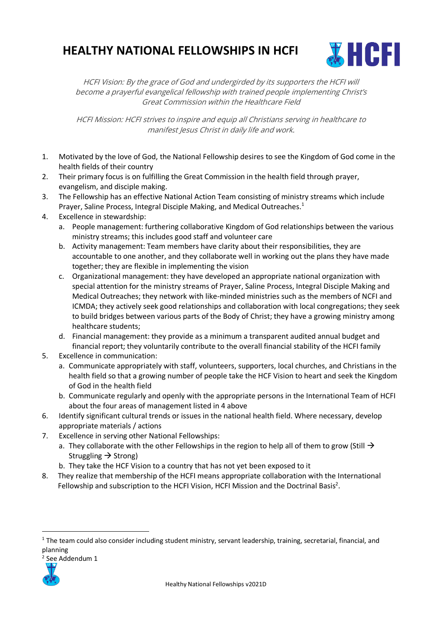## **HEALTHY NATIONAL FELLOWSHIPS IN HCFI**



HCFI Vision: By the grace of God and undergirded by its supporters the HCFI will become a prayerful evangelical fellowship with trained people implementing Christ's Great Commission within the Healthcare Field

HCFI Mission: HCFI strives to inspire and equip all Christians serving in healthcare to manifest Jesus Christ in daily life and work.

- 1. Motivated by the love of God, the National Fellowship desires to see the Kingdom of God come in the health fields of their country
- 2. Their primary focus is on fulfilling the Great Commission in the health field through prayer, evangelism, and disciple making.
- 3. The Fellowship has an effective National Action Team consisting of ministry streams which include Prayer, Saline Process, Integral Disciple Making, and Medical Outreaches.<sup>1</sup>
- 4. Excellence in stewardship:
	- a. People management: furthering collaborative Kingdom of God relationships between the various ministry streams; this includes good staff and volunteer care
	- b. Activity management: Team members have clarity about their responsibilities, they are accountable to one another, and they collaborate well in working out the plans they have made together; they are flexible in implementing the vision
	- c. Organizational management: they have developed an appropriate national organization with special attention for the ministry streams of Prayer, Saline Process, Integral Disciple Making and Medical Outreaches; they network with like-minded ministries such as the members of NCFI and ICMDA; they actively seek good relationships and collaboration with local congregations; they seek to build bridges between various parts of the Body of Christ; they have a growing ministry among healthcare students;
	- d. Financial management: they provide as a minimum a transparent audited annual budget and financial report; they voluntarily contribute to the overall financial stability of the HCFI family
- 5. Excellence in communication:
	- a. Communicate appropriately with staff, volunteers, supporters, local churches, and Christians in the health field so that a growing number of people take the HCF Vision to heart and seek the Kingdom of God in the health field
	- b. Communicate regularly and openly with the appropriate persons in the International Team of HCFI about the four areas of management listed in 4 above
- 6. Identify significant cultural trends or issues in the national health field. Where necessary, develop appropriate materials / actions
- 7. Excellence in serving other National Fellowships:
	- a. They collaborate with the other Fellowships in the region to help all of them to grow (Still  $\rightarrow$ Struggling  $\rightarrow$  Strong)
	- b. They take the HCF Vision to a country that has not yet been exposed to it
- 8. They realize that membership of the HCFI means appropriate collaboration with the International Fellowship and subscription to the HCFI Vision, HCFI Mission and the Doctrinal Basis<sup>2</sup>.

2 See Addendum 1



<sup>&</sup>lt;sup>1</sup> The team could also consider including student ministry, servant leadership, training, secretarial, financial, and planning